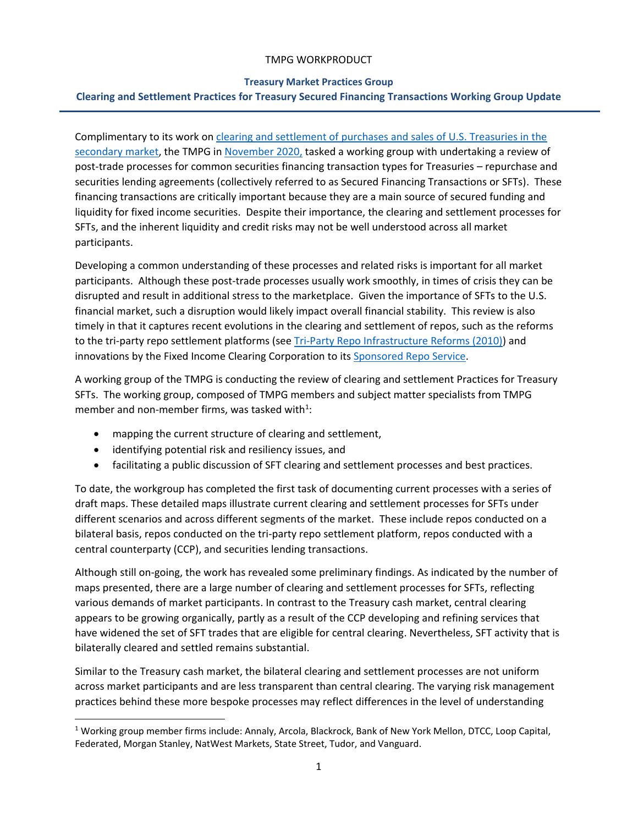#### **Treasury Market Practices Group**

### **Clearing and Settlement Practices for Treasury Secured Financing Transactions Working Group Update**

Complimentary to its work o[n clearing and settlement of purchases and sales of U.S. Treasuries in the](https://www.newyorkfed.org/medialibrary/Microsites/tmpg/files/CS_FinalPaper_071119.pdf)  [secondary market,](https://www.newyorkfed.org/medialibrary/Microsites/tmpg/files/CS_FinalPaper_071119.pdf) the TMPG i[n November 2020,](https://www.newyorkfed.org/medialibrary/Microsites/tmpg/files/november-2020-tmpg-meeting-minutes.pdf) tasked a working group with undertaking a review of post-trade processes for common securities financing transaction types for Treasuries – repurchase and securities lending agreements (collectively referred to as Secured Financing Transactions or SFTs). These financing transactions are critically important because they are a main source of secured funding and liquidity for fixed income securities. Despite their importance, the clearing and settlement processes for SFTs, and the inherent liquidity and credit risks may not be well understood across all market participants.

Developing a common understanding of these processes and related risks is important for all market participants. Although these post-trade processes usually work smoothly, in times of crisis they can be disrupted and result in additional stress to the marketplace. Given the importance of SFTs to the U.S. financial market, such a disruption would likely impact overall financial stability. This review is also timely in that it captures recent evolutions in the clearing and settlement of repos, such as the reforms to the tri-party repo settlement platforms (see [Tri-Party Repo Infrastructure Reforms \(2010\)\)](https://www.newyorkfed.org/medialibrary/media/banking/nyfrb_triparty_whitepaper.pdf) and innovations by the Fixed Income Clearing Corporation to it[s Sponsored Repo Service.](https://www.dtcc.com/clearing-services/ficc-gov/sponsored-membership)

A working group of the TMPG is conducting the review of clearing and settlement Practices for Treasury SFTs. The working group, composed of TMPG members and subject matter specialists from TMPG member and non-member firms, was tasked with<sup>1</sup>:

- mapping the current structure of clearing and settlement,
- identifying potential risk and resiliency issues, and
- facilitating a public discussion of SFT clearing and settlement processes and best practices.

To date, the workgroup has completed the first task of documenting current processes with a series of draft maps. These detailed maps illustrate current clearing and settlement processes for SFTs under different scenarios and across different segments of the market. These include repos conducted on a bilateral basis, repos conducted on the tri-party repo settlement platform, repos conducted with a central counterparty (CCP), and securities lending transactions.

Although still on-going, the work has revealed some preliminary findings. As indicated by the number of maps presented, there are a large number of clearing and settlement processes for SFTs, reflecting various demands of market participants. In contrast to the Treasury cash market, central clearing appears to be growing organically, partly as a result of the CCP developing and refining services that have widened the set of SFT trades that are eligible for central clearing. Nevertheless, SFT activity that is bilaterally cleared and settled remains substantial.

Similar to the Treasury cash market, the bilateral clearing and settlement processes are not uniform across market participants and are less transparent than central clearing. The varying risk management practices behind these more bespoke processes may reflect differences in the level of understanding

<sup>1</sup> Working group member firms include: Annaly, Arcola, Blackrock, Bank of New York Mellon, DTCC, Loop Capital, Federated, Morgan Stanley, NatWest Markets, State Street, Tudor, and Vanguard.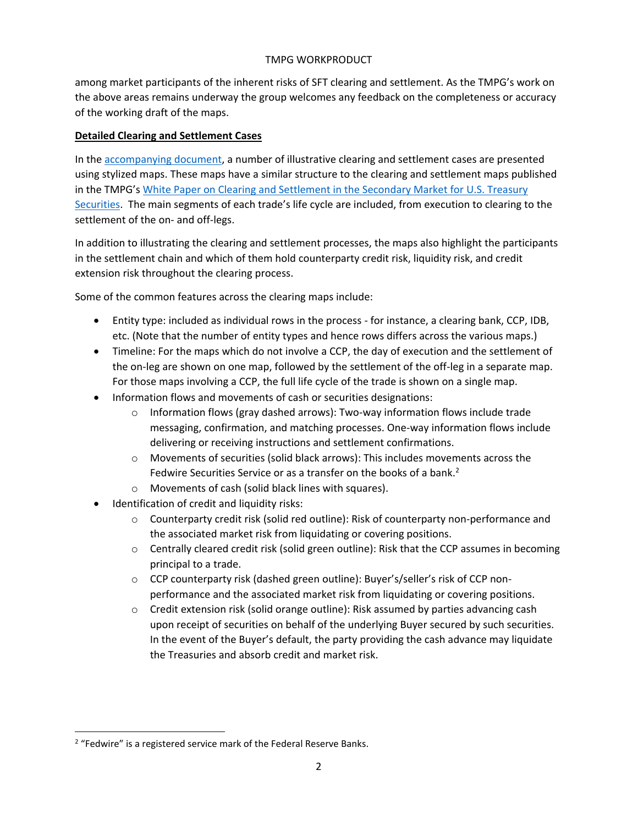among market participants of the inherent risks of SFT clearing and settlement. As the TMPG's work on the above areas remains underway the group welcomes any feedback on the completeness or accuracy of the working draft of the maps.

# **Detailed Clearing and Settlement Cases**

In the [accompanying document,](https://www.newyorkfed.org/medialibrary/Microsites/tmpg/files/CSP_SFT_Draft_Maps.pdf) a number of illustrative clearing and settlement cases are presented using stylized maps. These maps have a similar structure to the clearing and settlement maps published in the TMPG's [White Paper on Clearing and Settlement in the Secondary Market for U.S. Treasury](https://www.newyorkfed.org/medialibrary/Microsites/tmpg/files/CS_FinalPaper_071119.pdf)  [Securities.](https://www.newyorkfed.org/medialibrary/Microsites/tmpg/files/CS_FinalPaper_071119.pdf) The main segments of each trade's life cycle are included, from execution to clearing to the settlement of the on- and off-legs.

In addition to illustrating the clearing and settlement processes, the maps also highlight the participants in the settlement chain and which of them hold counterparty credit risk, liquidity risk, and credit extension risk throughout the clearing process.

Some of the common features across the clearing maps include:

- Entity type: included as individual rows in the process for instance, a clearing bank, CCP, IDB, etc. (Note that the number of entity types and hence rows differs across the various maps.)
- Timeline: For the maps which do not involve a CCP, the day of execution and the settlement of the on-leg are shown on one map, followed by the settlement of the off-leg in a separate map. For those maps involving a CCP, the full life cycle of the trade is shown on a single map.
- Information flows and movements of cash or securities designations:
	- $\circ$  Information flows (gray dashed arrows): Two-way information flows include trade messaging, confirmation, and matching processes. One-way information flows include delivering or receiving instructions and settlement confirmations.
	- $\circ$  Movements of securities (solid black arrows): This includes movements across the Fedwire Securities Service or as a transfer on the books of a bank.<sup>2</sup>
	- o Movements of cash (solid black lines with squares).
- Identification of credit and liquidity risks:
	- $\circ$  Counterparty credit risk (solid red outline): Risk of counterparty non-performance and the associated market risk from liquidating or covering positions.
	- $\circ$  Centrally cleared credit risk (solid green outline): Risk that the CCP assumes in becoming principal to a trade.
	- o CCP counterparty risk (dashed green outline): Buyer's/seller's risk of CCP nonperformance and the associated market risk from liquidating or covering positions.
	- $\circ$  Credit extension risk (solid orange outline): Risk assumed by parties advancing cash upon receipt of securities on behalf of the underlying Buyer secured by such securities. In the event of the Buyer's default, the party providing the cash advance may liquidate the Treasuries and absorb credit and market risk.

<sup>&</sup>lt;sup>2</sup> "Fedwire" is a registered service mark of the Federal Reserve Banks.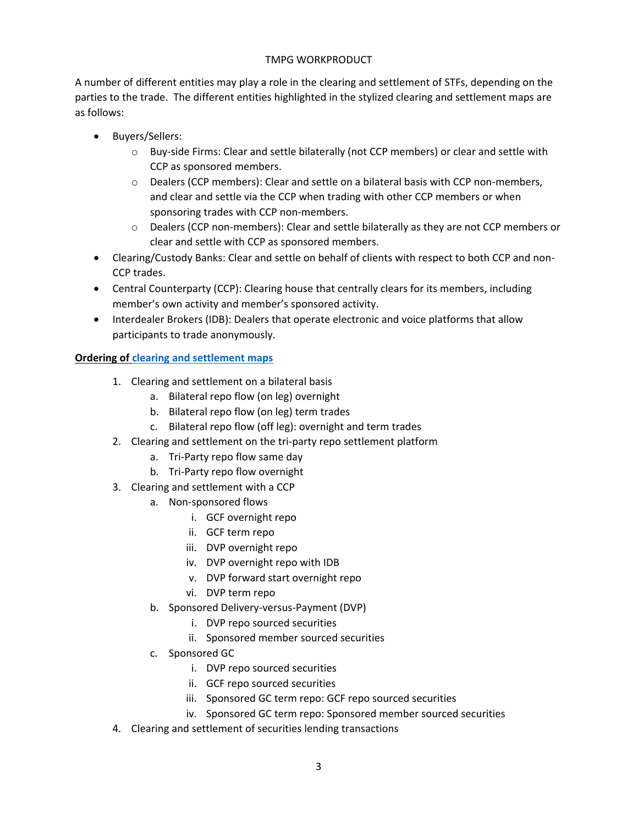A number of different entities may play a role in the clearing and settlement of STFs, depending on the parties to the trade. The different entities highlighted in the stylized clearing and settlement maps are as follows:

- Buyers/Sellers:
	- o Buy-side Firms: Clear and settle bilaterally (not CCP members) or clear and settle with CCP as sponsored members.
	- o Dealers (CCP members): Clear and settle on a bilateral basis with CCP non-members, and clear and settle via the CCP when trading with other CCP members or when sponsoring trades with CCP non-members.
	- o Dealers (CCP non-members): Clear and settle bilaterally as they are not CCP members or clear and settle with CCP as sponsored members.
- Clearing/Custody Banks: Clear and settle on behalf of clients with respect to both CCP and non-CCP trades.
- Central Counterparty (CCP): Clearing house that centrally clears for its members, including member's own activity and member's sponsored activity.
- Interdealer Brokers (IDB): Dealers that operate electronic and voice platforms that allow participants to trade anonymously.

# **Ordering of [clearing and settlement maps](https://www.newyorkfed.org/medialibrary/Microsites/tmpg/files/CSP_SFT_Draft_Maps.pdf)**

- 1. Clearing and settlement on a bilateral basis
	- a. Bilateral repo flow (on leg) overnight
	- b. Bilateral repo flow (on leg) term trades
	- c. Bilateral repo flow (off leg): overnight and term trades
- 2. Clearing and settlement on the tri-party repo settlement platform
	- a. Tri-Party repo flow same day
	- b. Tri-Party repo flow overnight
- 3. Clearing and settlement with a CCP
	- a. Non-sponsored flows
		- i. GCF overnight repo
		- ii. GCF term repo
		- iii. DVP overnight repo
		- iv. DVP overnight repo with IDB
		- v. DVP forward start overnight repo
		- vi. DVP term repo
	- b. Sponsored Delivery-versus-Payment (DVP)
		- i. DVP repo sourced securities
		- ii. Sponsored member sourced securities
	- c. Sponsored GC
		- i. DVP repo sourced securities
		- ii. GCF repo sourced securities
		- iii. Sponsored GC term repo: GCF repo sourced securities
		- iv. Sponsored GC term repo: Sponsored member sourced securities
- 4. Clearing and settlement of securities lending transactions